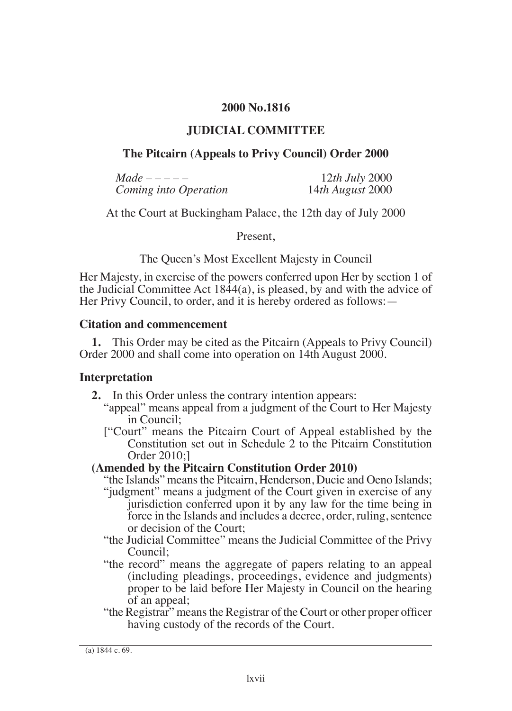## **2000 No.1816**

## **JUDICIAL COMMITTEE**

## **The Pitcairn (Appeals to Privy Council) Order 2000**

| $Made$ - - - - -      | 12th July 2000   |
|-----------------------|------------------|
| Coming into Operation | 14th August 2000 |

At the Court at Buckingham Palace, the 12th day of July 2000

Present,

The Queen's Most Excellent Majesty in Council

Her Majesty, in exercise of the powers conferred upon Her by section 1 of the Judicial Committee Act 1844(a), is pleased, by and with the advice of Her Privy Council, to order, and it is hereby ordered as follows: —

## **Citation and commencement**

**1.** This Order may be cited as the Pitcairn (Appeals to Privy Council) Order 2000 and shall come into operation on 14th August 2000.

## **Interpretation**

- **2.** In this Order unless the contrary intention appears:
	- "appeal" means appeal from a judgment of the Court to Her Majesty in Council;
	- ["Court" means the Pitcairn Court of Appeal established by the Constitution set out in Schedule 2 to the Pitcairn Constitution Order 2010;]

# **(Amended by the Pitcairn Constitution Order 2010)**

"the Islands" means the Pitcairn, Henderson, Ducie and Oeno Islands;

- "judgment" means a judgment of the Court given in exercise of any jurisdiction conferred upon it by any law for the time being in force in the Islands and includes a decree, order, ruling, sentence or decision of the Court;
- "the Judicial Committee" means the Judicial Committee of the Privy Council;
- "the record" means the aggregate of papers relating to an appeal (including pleadings, proceedings, evidence and judgments) proper to be laid before Her Majesty in Council on the hearing of an appeal;
- "the Registrar" means the Registrar of the Court or other proper oficer having custody of the records of the Court.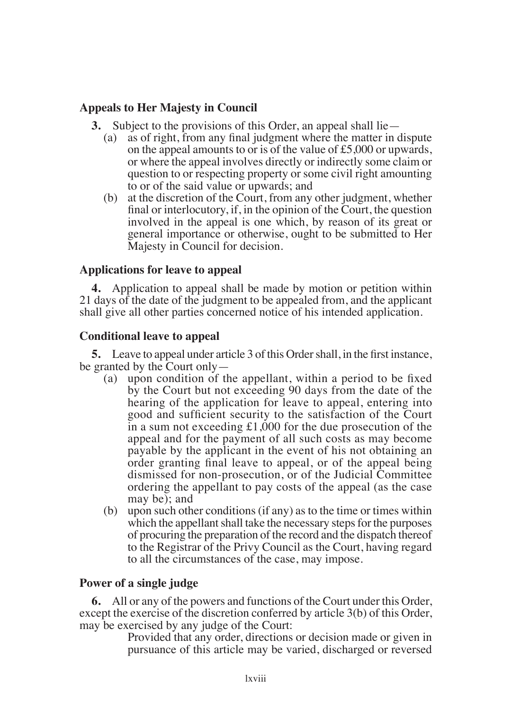# **Appeals to Her Majesty in Council**

- **3.** Subject to the provisions of this Order, an appeal shall lie—
	- (a) as of right, from any final judgment where the matter in dispute on the appeal amounts to or is of the value of £5,000 or upwards, or where the appeal involves directly or indirectly some claim or question to or respecting property or some civil right amounting to or of the said value or upwards; and
	- (b) at the discretion of the Court, from any other judgment, whether final or interlocutory, if, in the opinion of the Court, the question involved in the appeal is one which, by reason of its great or general importance or otherwise, ought to be submitted to Her Majesty in Council for decision.

## **Applications for leave to appeal**

**4.** Application to appeal shall be made by motion or petition within 21 days of the date of the judgment to be appealed from, and the applicant shall give all other parties concerned notice of his intended application.

# **Conditional leave to appeal**

**5.** Leave to appeal under article 3 of this Order shall, in the first instance, be granted by the Court only—

- (a) upon condition of the appellant, within a period to be fixed by the Court but not exceeding 90 days from the date of the hearing of the application for leave to appeal, entering into good and suficient security to the satisfaction of the Court in a sum not exceeding £1,000 for the due prosecution of the appeal and for the payment of all such costs as may become payable by the applicant in the event of his not obtaining an order granting final leave to appeal, or of the appeal being dismissed for non-prosecution, or of the Judicial Committee ordering the appellant to pay costs of the appeal (as the case may be); and
- (b) upon such other conditions (if any) as to the time or times within which the appellant shall take the necessary steps for the purposes of procuring the preparation of the record and the dispatch thereof to the Registrar of the Privy Council as the Court, having regard to all the circumstances of the case, may impose.

# **Power of a single judge**

**6.** All or any of the powers and functions of the Court under this Order, except the exercise of the discretion conferred by article 3(b) of this Order, may be exercised by any judge of the Court:

 Provided that any order, directions or decision made or given in pursuance of this article may be varied, discharged or reversed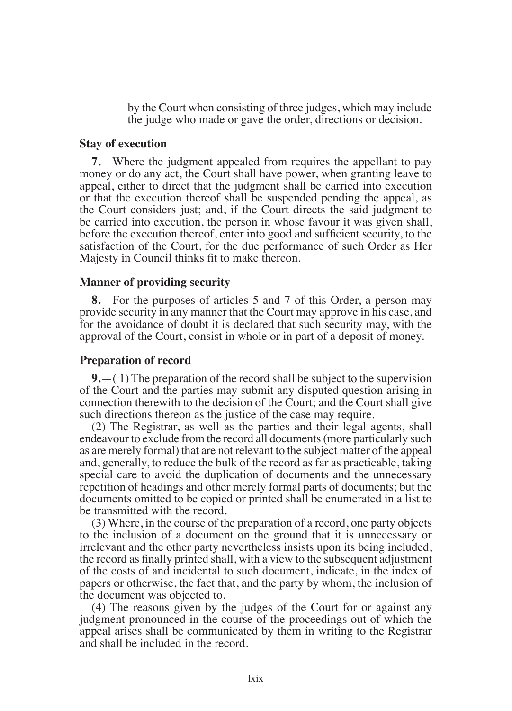by the Court when consisting of three judges, which may include the judge who made or gave the order, directions or decision.

#### **Stay of execution**

**7.** Where the judgment appealed from requires the appellant to pay money or do any act, the Court shall have power, when granting leave to appeal, either to direct that the judgment shall be carried into execution or that the execution thereof shall be suspended pending the appeal, as the Court considers just; and, if the Court directs the said judgment to be carried into execution, the person in whose favour it was given shall, before the execution thereof, enter into good and suficient security, to the satisfaction of the Court, for the due performance of such Order as Her Majesty in Council thinks fit to make thereon.

#### **Manner of providing security**

**8.** For the purposes of articles 5 and 7 of this Order, a person may provide security in any manner that the Court may approve in his case, and for the avoidance of doubt it is declared that such security may, with the approval of the Court, consist in whole or in part of a deposit of money.

#### **Preparation of record**

**9.**—( 1) The preparation of the record shall be subject to the supervision of the Court and the parties may submit any disputed question arising in connection therewith to the decision of the Court; and the Court shall give such directions thereon as the justice of the case may require.

(2) The Registrar, as well as the parties and their legal agents, shall endeavour to exclude from the record all documents (more particularly such as are merely formal) that are not relevant to the subject matter of the appeal and, generally, to reduce the bulk of the record as far as practicable, taking special care to avoid the duplication of documents and the unnecessary repetition of headings and other merely formal parts of documents; but the documents omitted to be copied or printed shall be enumerated in a list to be transmitted with the record.

(3) Where, in the course of the preparation of a record, one party objects to the inclusion of a document on the ground that it is unnecessary or irrelevant and the other party nevertheless insists upon its being included, the record as finally printed shall, with a view to the subsequent adjustment of the costs of and incidental to such document, indicate, in the index of papers or otherwise, the fact that, and the party by whom, the inclusion of the document was objected to.

(4) The reasons given by the judges of the Court for or against any judgment pronounced in the course of the proceedings out of which the appeal arises shall be communicated by them in writing to the Registrar and shall be included in the record.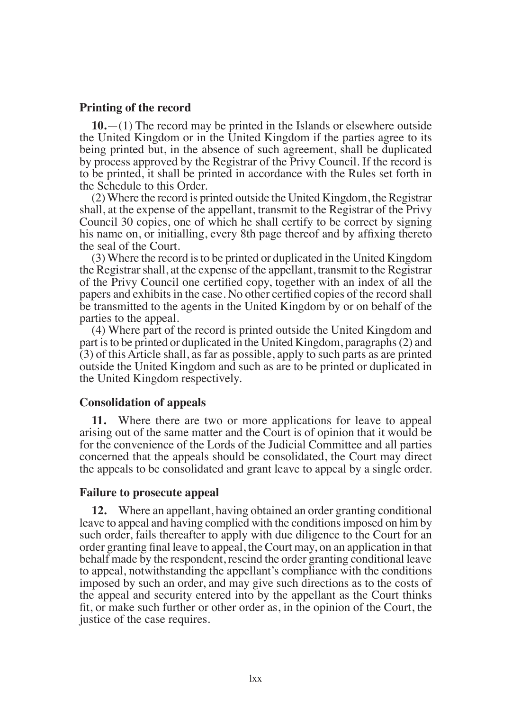## **Printing of the record**

**10.**—(1) The record may be printed in the Islands or elsewhere outside the United Kingdom or in the United Kingdom if the parties agree to its being printed but, in the absence of such agreement, shall be duplicated by process approved by the Registrar of the Privy Council. If the record is to be printed, it shall be printed in accordance with the Rules set forth in the Schedule to this Order.

(2) Where the record is printed outside the United Kingdom, the Registrar shall, at the expense of the appellant, transmit to the Registrar of the Privy Council 30 copies, one of which he shall certify to be correct by signing his name on, or initialling, every 8th page thereof and by afixing thereto the seal of the Court.

(3) Where the record is to be printed or duplicated in the United Kingdom the Registrar shall, at the expense of the appellant, transmit to the Registrar of the Privy Council one certiied copy, together with an index of all the papers and exhibits in the case. No other certiied copies of the record shall be transmitted to the agents in the United Kingdom by or on behalf of the parties to the appeal.

(4) Where part of the record is printed outside the United Kingdom and part is to be printed or duplicated in the United Kingdom, paragraphs (2) and (3) of this Article shall, as far as possible, apply to such parts as are printed outside the United Kingdom and such as are to be printed or duplicated in the United Kingdom respectively.

## **Consolidation of appeals**

**11.** Where there are two or more applications for leave to appeal arising out of the same matter and the Court is of opinion that it would be for the convenience of the Lords of the Judicial Committee and all parties concerned that the appeals should be consolidated, the Court may direct the appeals to be consolidated and grant leave to appeal by a single order.

## **Failure to prosecute appeal**

**12.** Where an appellant, having obtained an order granting conditional leave to appeal and having complied with the conditions imposed on him by such order, fails thereafter to apply with due diligence to the Court for an order granting final leave to appeal, the Court may, on an application in that behalf made by the respondent, rescind the order granting conditional leave to appeal, notwithstanding the appellant's compliance with the conditions imposed by such an order, and may give such directions as to the costs of the appeal and security entered into by the appellant as the Court thinks fit, or make such further or other order as, in the opinion of the Court, the justice of the case requires.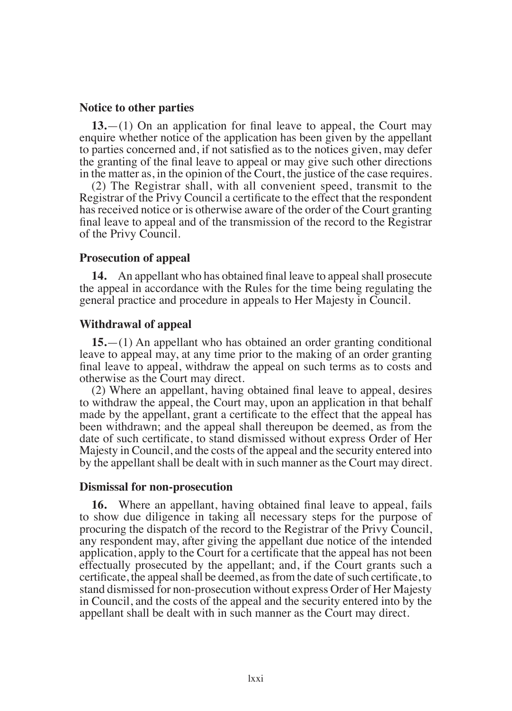#### **Notice to other parties**

**13.**—(1) On an application for final leave to appeal, the Court may enquire whether notice of the application has been given by the appellant to parties concerned and, if not satisied as to the notices given, may defer the granting of the final leave to appeal or may give such other directions in the matter as, in the opinion of the Court, the justice of the case requires.

(2) The Registrar shall, with all convenient speed, transmit to the Registrar of the Privy Council a certificate to the effect that the respondent has received notice or is otherwise aware of the order of the Court granting final leave to appeal and of the transmission of the record to the Registrar of the Privy Council.

#### **Prosecution of appeal**

**14.** An appellant who has obtained final leave to appeal shall prosecute the appeal in accordance with the Rules for the time being regulating the general practice and procedure in appeals to Her Majesty in Council.

#### **Withdrawal of appeal**

**15.**—(1) An appellant who has obtained an order granting conditional leave to appeal may, at any time prior to the making of an order granting final leave to appeal, withdraw the appeal on such terms as to costs and otherwise as the Court may direct.

(2) Where an appellant, having obtained final leave to appeal, desires to withdraw the appeal, the Court may, upon an application in that behalf made by the appellant, grant a certificate to the effect that the appeal has been withdrawn; and the appeal shall thereupon be deemed, as from the date of such certiicate, to stand dismissed without express Order of Her Majesty in Council, and the costs of the appeal and the security entered into by the appellant shall be dealt with in such manner as the Court may direct.

#### **Dismissal for non-prosecution**

**16.** Where an appellant, having obtained final leave to appeal, fails to show due diligence in taking all necessary steps for the purpose of procuring the dispatch of the record to the Registrar of the Privy Council, any respondent may, after giving the appellant due notice of the intended application, apply to the Court for a certiicate that the appeal has not been effectually prosecuted by the appellant; and, if the Court grants such a certiicate, the appeal shall be deemed, as from the date of such certiicate, to stand dismissed for non-prosecution without express Order of Her Majesty in Council, and the costs of the appeal and the security entered into by the appellant shall be dealt with in such manner as the Court may direct.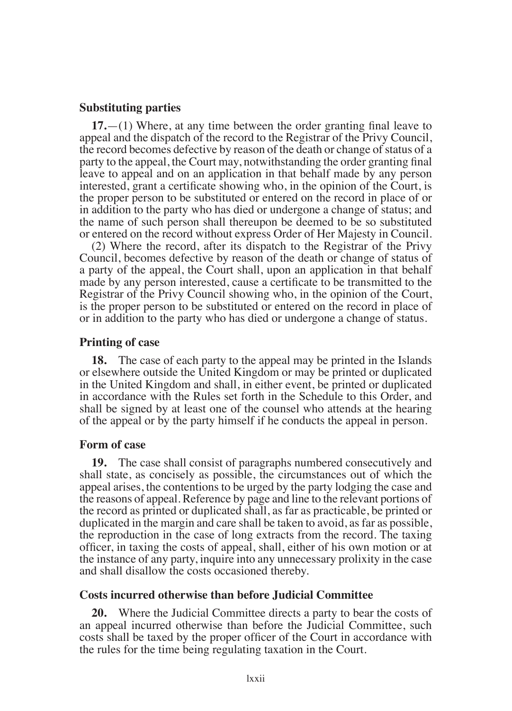## **Substituting parties**

 $17.$ —(1) Where, at any time between the order granting final leave to appeal and the dispatch of the record to the Registrar of the Privy Council, the record becomes defective by reason of the death or change of status of a party to the appeal, the Court may, notwithstanding the order granting inal leave to appeal and on an application in that behalf made by any person interested, grant a certificate showing who, in the opinion of the Court, is the proper person to be substituted or entered on the record in place of or in addition to the party who has died or undergone a change of status; and the name of such person shall thereupon be deemed to be so substituted or entered on the record without express Order of Her Majesty in Council.

(2) Where the record, after its dispatch to the Registrar of the Privy Council, becomes defective by reason of the death or change of status of a party of the appeal, the Court shall, upon an application in that behalf made by any person interested, cause a certificate to be transmitted to the Registrar of the Privy Council showing who, in the opinion of the Court, is the proper person to be substituted or entered on the record in place of or in addition to the party who has died or undergone a change of status.

## **Printing of case**

**18.** The case of each party to the appeal may be printed in the Islands or elsewhere outside the United Kingdom or may be printed or duplicated in the United Kingdom and shall, in either event, be printed or duplicated in accordance with the Rules set forth in the Schedule to this Order, and shall be signed by at least one of the counsel who attends at the hearing of the appeal or by the party himself if he conducts the appeal in person.

## **Form of case**

**19.** The case shall consist of paragraphs numbered consecutively and shall state, as concisely as possible, the circumstances out of which the appeal arises, the contentions to be urged by the party lodging the case and the reasons of appeal. Reference by page and line to the relevant portions of the record as printed or duplicated shall, as far as practicable, be printed or duplicated in the margin and care shall be taken to avoid, as far as possible, the reproduction in the case of long extracts from the record. The taxing oficer, in taxing the costs of appeal, shall, either of his own motion or at the instance of any party, inquire into any unnecessary prolixity in the case and shall disallow the costs occasioned thereby.

## **Costs incurred otherwise than before Judicial Committee**

**20.** Where the Judicial Committee directs a party to bear the costs of an appeal incurred otherwise than before the Judicial Committee, such costs shall be taxed by the proper oficer of the Court in accordance with the rules for the time being regulating taxation in the Court.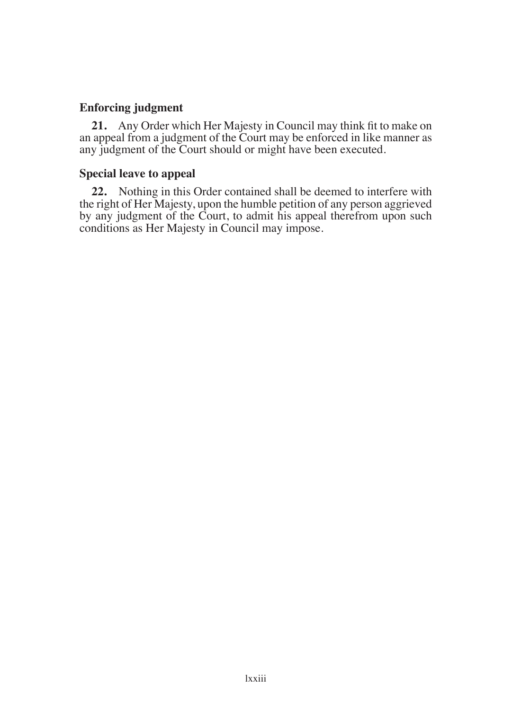# **Enforcing judgment**

**21.** Any Order which Her Majesty in Council may think fit to make on an appeal from a judgment of the Court may be enforced in like manner as any judgment of the Court should or might have been executed.

## **Special leave to appeal**

**22.** Nothing in this Order contained shall be deemed to interfere with the right of Her Majesty, upon the humble petition of any person aggrieved by any judgment of the Court, to admit his appeal therefrom upon such conditions as Her Majesty in Council may impose.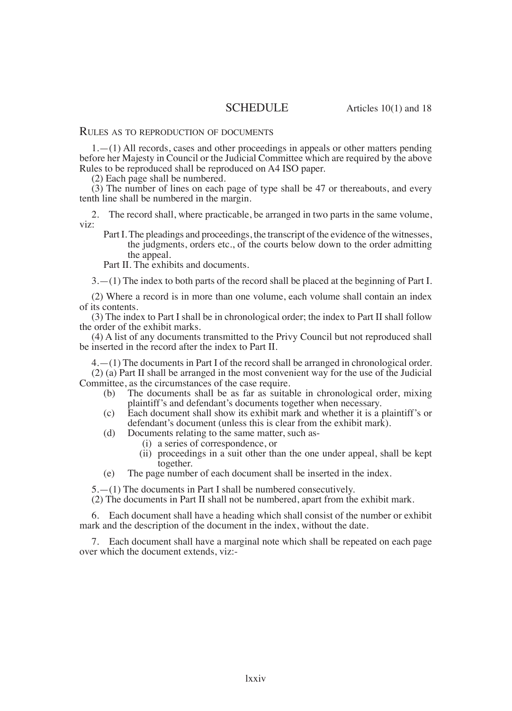#### SCHEDULE Articles 10(1) and 18

#### Rules as to reproduction of documents

1.—(1) All records, cases and other proceedings in appeals or other matters pending before her Majesty in Council or the Judicial Committee which are required by the above Rules to be reproduced shall be reproduced on A4 ISO paper.

(2) Each page shall be numbered.

(3) The number of lines on each page of type shall be 47 or thereabouts, and every tenth line shall be numbered in the margin.

2. The record shall, where practicable, be arranged in two parts in the same volume, viz:

Part I. The pleadings and proceedings, the transcript of the evidence of the witnesses, the judgments, orders etc., of the courts below down to the order admitting the appeal.

Part II. The exhibits and documents.

3.—(1) The index to both parts of the record shall be placed at the beginning of Part I.

(2) Where a record is in more than one volume, each volume shall contain an index of its contents.

(3) The index to Part I shall be in chronological order; the index to Part II shall follow the order of the exhibit marks.

(4) A list of any documents transmitted to the Privy Council but not reproduced shall be inserted in the record after the index to Part II.

4.—(1) The documents in Part I of the record shall be arranged in chronological order. (2) (a) Part II shall be arranged in the most convenient way for the use of the Judicial Committee, as the circumstances of the case require.

- (b) The documents shall be as far as suitable in chronological order, mixing plaintiff's and defendant's documents together when necessary.
- (c) Each document shall show its exhibit mark and whether it is a plaintiff's or defendant's document (unless this is clear from the exhibit mark).
- (d) Documents relating to the same matter, such as-
	- (i) a series of correspondence, or
	- (ii) proceedings in a suit other than the one under appeal, shall be kept together.
- (e) The page number of each document shall be inserted in the index.

5.—(1) The documents in Part I shall be numbered consecutively.

(2) The documents in Part II shall not be numbered, apart from the exhibit mark.

6. Each document shall have a heading which shall consist of the number or exhibit mark and the description of the document in the index, without the date.

7. Each document shall have a marginal note which shall be repeated on each page over which the document extends, viz:-